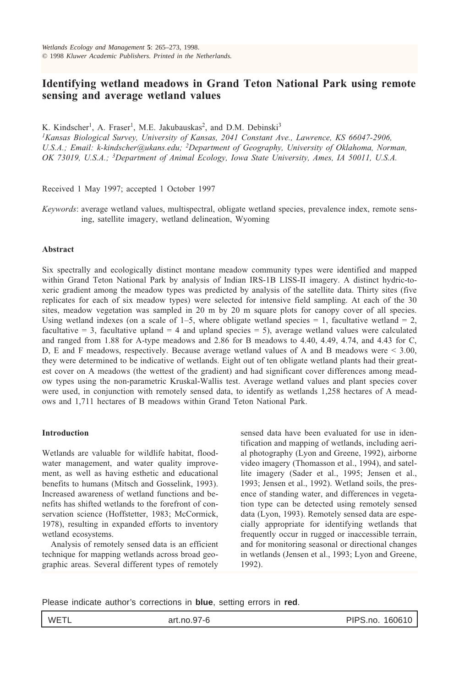# **Identifying wetland meadows in Grand Teton National Park using remote sensing and average wetland values**

K. Kindscher<sup>1</sup>, A. Fraser<sup>1</sup>, M.E. Jakubauskas<sup>2</sup>, and D.M. Debinski<sup>3</sup>

*1Kansas Biological Survey, University of Kansas, 2041 Constant Ave., Lawrence, KS 66047-2906, U.S.A.; Email: k-kindscher@ukans.edu; 2Department of Geography, University of Oklahoma, Norman, OK 73019, U.S.A.; 3Department of Animal Ecology, Iowa State University, Ames, IA 50011, U.S.A.*

Received 1 May 1997; accepted 1 October 1997

*Keywords*: average wetland values, multispectral, obligate wetland species, prevalence index, remote sensing, satellite imagery, wetland delineation, Wyoming

## **Abstract**

Six spectrally and ecologically distinct montane meadow community types were identified and mapped within Grand Teton National Park by analysis of Indian IRS-1B LISS-II imagery. A distinct hydric-toxeric gradient among the meadow types was predicted by analysis of the satellite data. Thirty sites (five replicates for each of six meadow types) were selected for intensive field sampling. At each of the 30 sites, meadow vegetation was sampled in 20 m by 20 m square plots for canopy cover of all species. Using wetland indexes (on a scale of  $1-5$ , where obligate wetland species = 1, facultative wetland = 2, facultative  $= 3$ , facultative upland  $= 4$  and upland species  $= 5$ ), average wetland values were calculated and ranged from 1.88 for A-type meadows and 2.86 for B meadows to 4.40, 4.49, 4.74, and 4.43 for C, D, E and F meadows, respectively. Because average wetland values of A and B meadows were < 3.00, they were determined to be indicative of wetlands. Eight out of ten obligate wetland plants had their greatest cover on A meadows (the wettest of the gradient) and had significant cover differences among meadow types using the non-parametric Kruskal-Wallis test. Average wetland values and plant species cover were used, in conjunction with remotely sensed data, to identify as wetlands 1,258 hectares of A meadows and 1,711 hectares of B meadows within Grand Teton National Park.

#### **Introduction**

Wetlands are valuable for wildlife habitat, floodwater management, and water quality improvement, as well as having esthetic and educational benefits to humans (Mitsch and Gosselink, 1993). Increased awareness of wetland functions and benefits has shifted wetlands to the forefront of conservation science (Hoffstetter, 1983; McCormick, 1978), resulting in expanded efforts to inventory wetland ecosystems.

Analysis of remotely sensed data is an efficient technique for mapping wetlands across broad geographic areas. Several different types of remotely sensed data have been evaluated for use in identification and mapping of wetlands, including aerial photography (Lyon and Greene, 1992), airborne video imagery (Thomasson et al., 1994), and satellite imagery (Sader et al., 1995; Jensen et al., 1993; Jensen et al., 1992). Wetland soils, the presence of standing water, and differences in vegetation type can be detected using remotely sensed data (Lyon, 1993). Remotely sensed data are especially appropriate for identifying wetlands that frequently occur in rugged or inaccessible terrain, and for monitoring seasonal or directional changes in wetlands (Jensen et al., 1993; Lyon and Greene, 1992).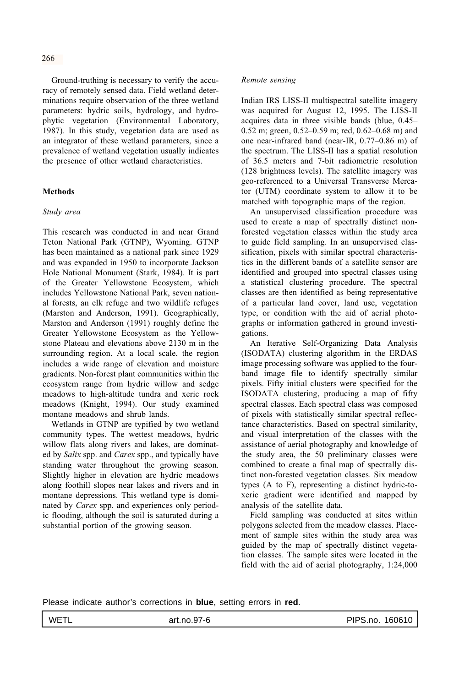Ground-truthing is necessary to verify the accuracy of remotely sensed data. Field wetland determinations require observation of the three wetland parameters: hydric soils, hydrology, and hydrophytic vegetation (Environmental Laboratory, 1987). In this study, vegetation data are used as an integrator of these wetland parameters, since a prevalence of wetland vegetation usually indicates the presence of other wetland characteristics.

## **Methods**

## *Study area*

This research was conducted in and near Grand Teton National Park (GTNP), Wyoming. GTNP has been maintained as a national park since 1929 and was expanded in 1950 to incorporate Jackson Hole National Monument (Stark, 1984). It is part of the Greater Yellowstone Ecosystem, which includes Yellowstone National Park, seven national forests, an elk refuge and two wildlife refuges (Marston and Anderson, 1991). Geographically, Marston and Anderson (1991) roughly define the Greater Yellowstone Ecosystem as the Yellowstone Plateau and elevations above 2130 m in the surrounding region. At a local scale, the region includes a wide range of elevation and moisture gradients. Non-forest plant communities within the ecosystem range from hydric willow and sedge meadows to high-altitude tundra and xeric rock meadows (Knight, 1994). Our study examined montane meadows and shrub lands.

Wetlands in GTNP are typified by two wetland community types. The wettest meadows, hydric willow flats along rivers and lakes, are dominated by *Salix* spp. and *Carex* spp., and typically have standing water throughout the growing season. Slightly higher in elevation are hydric meadows along foothill slopes near lakes and rivers and in montane depressions. This wetland type is dominated by *Carex* spp. and experiences only periodic flooding, although the soil is saturated during a substantial portion of the growing season.

#### *Remote sensing*

Indian IRS LISS-II multispectral satellite imagery was acquired for August 12, 1995. The LISS-II acquires data in three visible bands (blue, 0.45– 0.52 m; green, 0.52–0.59 m; red, 0.62–0.68 m) and one near-infrared band (near-IR, 0.77–0.86 m) of the spectrum. The LISS-II has a spatial resolution of 36.5 meters and 7-bit radiometric resolution (128 brightness levels). The satellite imagery was geo-referenced to a Universal Transverse Mercator (UTM) coordinate system to allow it to be matched with topographic maps of the region.

An unsupervised classification procedure was used to create a map of spectrally distinct nonforested vegetation classes within the study area to guide field sampling. In an unsupervised classification, pixels with similar spectral characteristics in the different bands of a satellite sensor are identified and grouped into spectral classes using a statistical clustering procedure. The spectral classes are then identified as being representative of a particular land cover, land use, vegetation type, or condition with the aid of aerial photographs or information gathered in ground investigations.

An Iterative Self-Organizing Data Analysis (ISODATA) clustering algorithm in the ERDAS image processing software was applied to the fourband image file to identify spectrally similar pixels. Fifty initial clusters were specified for the ISODATA clustering, producing a map of fifty spectral classes. Each spectral class was composed of pixels with statistically similar spectral reflectance characteristics. Based on spectral similarity, and visual interpretation of the classes with the assistance of aerial photography and knowledge of the study area, the 50 preliminary classes were combined to create a final map of spectrally distinct non-forested vegetation classes. Six meadow types (A to F), representing a distinct hydric-toxeric gradient were identified and mapped by analysis of the satellite data.

Field sampling was conducted at sites within polygons selected from the meadow classes. Placement of sample sites within the study area was guided by the map of spectrally distinct vegetation classes. The sample sites were located in the field with the aid of aerial photography, 1:24,000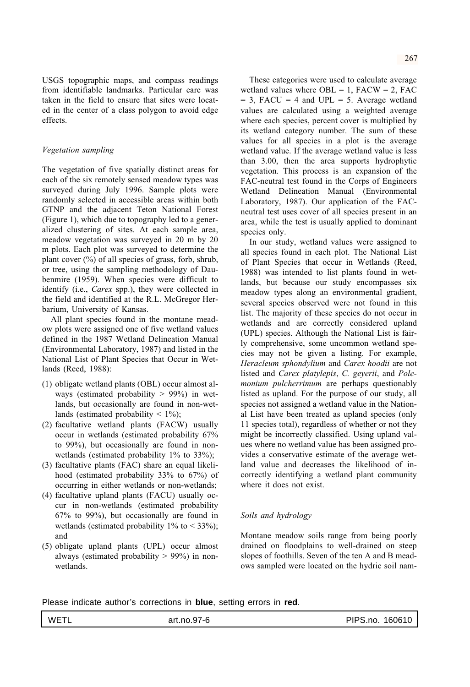USGS topographic maps, and compass readings from identifiable landmarks. Particular care was taken in the field to ensure that sites were located in the center of a class polygon to avoid edge effects.

## *Vegetation sampling*

The vegetation of five spatially distinct areas for each of the six remotely sensed meadow types was surveyed during July 1996. Sample plots were randomly selected in accessible areas within both GTNP and the adjacent Teton National Forest (Figure 1), which due to topography led to a generalized clustering of sites. At each sample area, meadow vegetation was surveyed in 20 m by 20 m plots. Each plot was surveyed to determine the plant cover  $(\%)$  of all species of grass, forb, shrub, or tree, using the sampling methodology of Daubenmire (1959). When species were difficult to identify (i.e., *Carex* spp.), they were collected in the field and identified at the R.L. McGregor Herbarium, University of Kansas.

All plant species found in the montane meadow plots were assigned one of five wetland values defined in the 1987 Wetland Delineation Manual (Environmental Laboratory, 1987) and listed in the National List of Plant Species that Occur in Wetlands (Reed, 1988):

- (1) obligate wetland plants (OBL) occur almost always (estimated probability  $> 99\%$ ) in wetlands, but occasionally are found in non-wetlands (estimated probability  $\leq 1\%$ );
- (2) facultative wetland plants (FACW) usually occur in wetlands (estimated probability 67% to 99%), but occasionally are found in nonwetlands (estimated probability 1% to 33%);
- (3) facultative plants (FAC) share an equal likelihood (estimated probability 33% to 67%) of occurring in either wetlands or non-wetlands;
- (4) facultative upland plants (FACU) usually occur in non-wetlands (estimated probability 67% to 99%), but occasionally are found in wetlands (estimated probability  $1\%$  to < 33%); and
- (5) obligate upland plants (UPL) occur almost always (estimated probability  $> 99\%$ ) in nonwetlands.

These categories were used to calculate average wetland values where  $OBL = 1$ ,  $FACW = 2$ ,  $FAC$  $= 3$ , FACU  $= 4$  and UPL  $= 5$ . Average wetland values are calculated using a weighted average where each species, percent cover is multiplied by its wetland category number. The sum of these values for all species in a plot is the average wetland value. If the average wetland value is less than 3.00, then the area supports hydrophytic vegetation. This process is an expansion of the FAC-neutral test found in the Corps of Engineers Wetland Delineation Manual (Environmental Laboratory, 1987). Our application of the FACneutral test uses cover of all species present in an area, while the test is usually applied to dominant species only.

In our study, wetland values were assigned to all species found in each plot. The National List of Plant Species that occur in Wetlands (Reed, 1988) was intended to list plants found in wetlands, but because our study encompasses six meadow types along an environmental gradient, several species observed were not found in this list. The majority of these species do not occur in wetlands and are correctly considered upland (UPL) species. Although the National List is fairly comprehensive, some uncommon wetland species may not be given a listing. For example, *Heracleum sphondylium* and *Carex hoodii* are not listed and *Carex platylepis*, *C. geyerii*, and *Polemonium pulcherrimum* are perhaps questionably listed as upland. For the purpose of our study, all species not assigned a wetland value in the National List have been treated as upland species (only 11 species total), regardless of whether or not they might be incorrectly classified. Using upland values where no wetland value has been assigned provides a conservative estimate of the average wetland value and decreases the likelihood of incorrectly identifying a wetland plant community where it does not exist.

## *Soils and hydrology*

Montane meadow soils range from being poorly drained on floodplains to well-drained on steep slopes of foothills. Seven of the ten A and B meadows sampled were located on the hydric soil nam-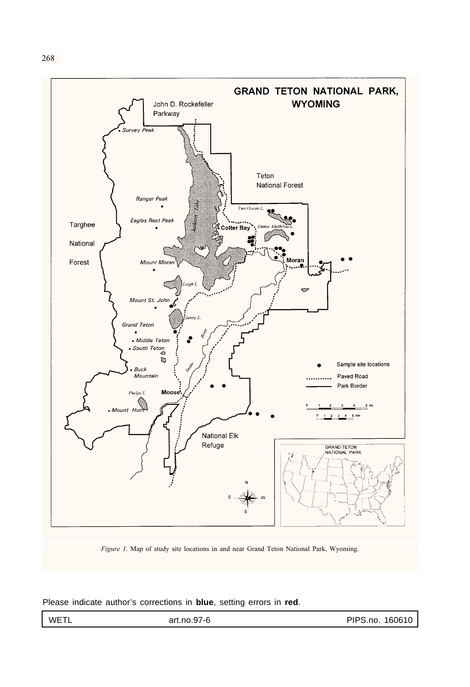



*Figure 1*. Map of study site locations in and near Grand Teton National Park, Wyoming.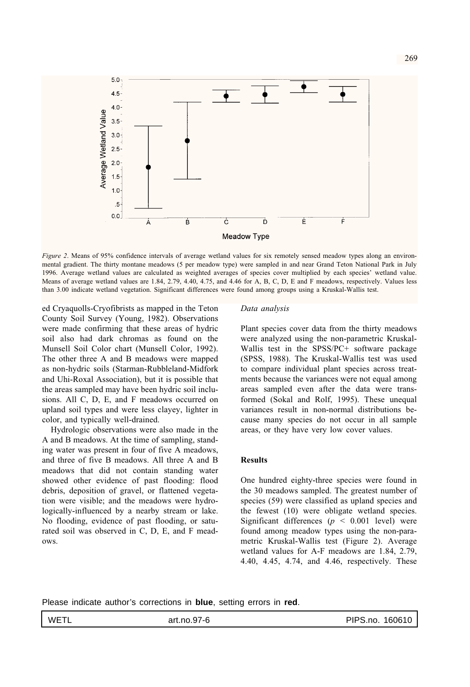

*Figure 2*. Means of 95% confidence intervals of average wetland values for six remotely sensed meadow types along an environmental gradient. The thirty montane meadows (5 per meadow type) were sampled in and near Grand Teton National Park in July 1996. Average wetland values are calculated as weighted averages of species cover multiplied by each species' wetland value. Means of average wetland values are 1.84, 2.79, 4.40, 4.75, and 4.46 for A, B, C, D, E and F meadows, respectively. Values less than 3.00 indicate wetland vegetation. Significant differences were found among groups using a Kruskal-Wallis test.

ed Cryaquolls-Cryofibrists as mapped in the Teton County Soil Survey (Young, 1982). Observations were made confirming that these areas of hydric soil also had dark chromas as found on the Munsell Soil Color chart (Munsell Color, 1992). The other three A and B meadows were mapped as non-hydric soils (Starman-Rubbleland-Midfork and Uhi-Roxal Association), but it is possible that the areas sampled may have been hydric soil inclusions. All C, D, E, and F meadows occurred on upland soil types and were less clayey, lighter in color, and typically well-drained.

Hydrologic observations were also made in the A and B meadows. At the time of sampling, standing water was present in four of five A meadows, and three of five B meadows. All three A and B meadows that did not contain standing water showed other evidence of past flooding: flood debris, deposition of gravel, or flattened vegetation were visible; and the meadows were hydrologically-influenced by a nearby stream or lake. No flooding, evidence of past flooding, or saturated soil was observed in C, D, E, and F meadows.

#### *Data analysis*

Plant species cover data from the thirty meadows were analyzed using the non-parametric Kruskal-Wallis test in the SPSS/PC+ software package (SPSS, 1988). The Kruskal-Wallis test was used to compare individual plant species across treatments because the variances were not equal among areas sampled even after the data were transformed (Sokal and Rolf, 1995). These unequal variances result in non-normal distributions because many species do not occur in all sample areas, or they have very low cover values.

# **Results**

One hundred eighty-three species were found in the 30 meadows sampled. The greatest number of species (59) were classified as upland species and the fewest (10) were obligate wetland species. Significant differences ( $p \le 0.001$  level) were found among meadow types using the non-parametric Kruskal-Wallis test (Figure 2). Average wetland values for A-F meadows are 1.84, 2.79, 4.40, 4.45, 4.74, and 4.46, respectively. These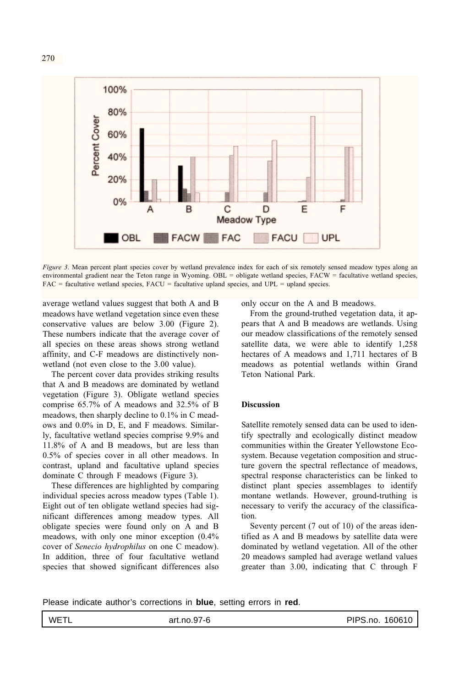

*Figure 3*. Mean percent plant species cover by wetland prevalence index for each of six remotely sensed meadow types along an environmental gradient near the Teton range in Wyoming. OBL = obligate wetland species, FACW = facultative wetland species, FAC = facultative wetland species, FACU = facultative upland species, and UPL = upland species.

average wetland values suggest that both A and B meadows have wetland vegetation since even these conservative values are below 3.00 (Figure 2). These numbers indicate that the average cover of all species on these areas shows strong wetland affinity, and C-F meadows are distinctively nonwetland (not even close to the 3.00 value).

The percent cover data provides striking results that A and B meadows are dominated by wetland vegetation (Figure 3). Obligate wetland species comprise 65.7% of A meadows and 32.5% of B meadows, then sharply decline to 0.1% in C meadows and 0.0% in D, E, and F meadows. Similarly, facultative wetland species comprise 9.9% and 11.8% of A and B meadows, but are less than 0.5% of species cover in all other meadows. In contrast, upland and facultative upland species dominate C through F meadows (Figure 3).

These differences are highlighted by comparing individual species across meadow types (Table 1). Eight out of ten obligate wetland species had significant differences among meadow types. All obligate species were found only on A and B meadows, with only one minor exception (0.4% cover of *Senecio hydrophilus* on one C meadow). In addition, three of four facultative wetland species that showed significant differences also only occur on the A and B meadows.

From the ground-truthed vegetation data, it appears that A and B meadows are wetlands. Using our meadow classifications of the remotely sensed satellite data, we were able to identify 1,258 hectares of A meadows and 1,711 hectares of B meadows as potential wetlands within Grand Teton National Park.

#### **Discussion**

Satellite remotely sensed data can be used to identify spectrally and ecologically distinct meadow communities within the Greater Yellowstone Ecosystem. Because vegetation composition and structure govern the spectral reflectance of meadows, spectral response characteristics can be linked to distinct plant species assemblages to identify montane wetlands. However, ground-truthing is necessary to verify the accuracy of the classification.

Seventy percent (7 out of 10) of the areas identified as A and B meadows by satellite data were dominated by wetland vegetation. All of the other 20 meadows sampled had average wetland values greater than 3.00, indicating that C through F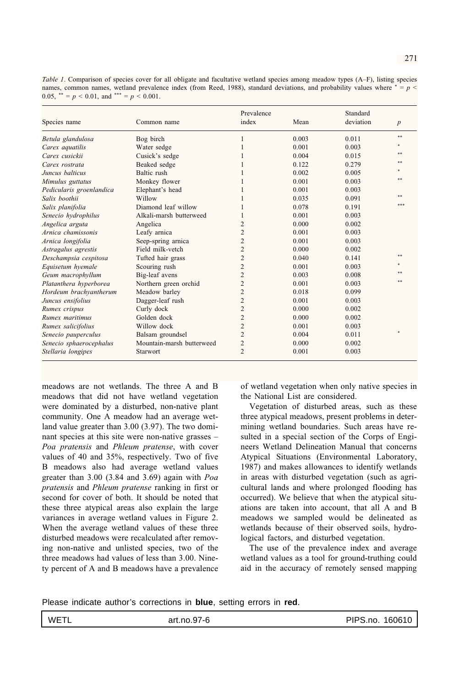| Species name             | Common name               | Prevalence     |       | Standard  |                  |
|--------------------------|---------------------------|----------------|-------|-----------|------------------|
|                          |                           | index          | Mean  | deviation | $\boldsymbol{p}$ |
| Betula glandulosa        | Bog birch                 |                | 0.003 | 0.011     | **               |
| Carex aquatilis          | Water sedge               |                | 0.001 | 0.003     |                  |
| Carex cusickii           | Cusick's sedge            |                | 0.004 | 0.015     | sk sk            |
| Carex rostrata           | Beaked sedge              |                | 0.122 | 0.279     |                  |
| Juncus balticus          | Baltic rush               |                | 0.002 | 0.005     |                  |
| Mimulus guttatus         | Monkey flower             |                | 0.001 | 0.003     |                  |
| Pedicularis groenlandica | Elephant's head           |                | 0.001 | 0.003     |                  |
| Salix hoothii            | Willow                    |                | 0.035 | 0.091     | de de            |
| Salix planifolia         | Diamond leaf willow       |                | 0.078 | 0.191     |                  |
| Senecio hydrophilus      | Alkali-marsh butterweed   |                | 0.001 | 0.003     |                  |
| Angelica arguta          | Angelica                  | $\overline{c}$ | 0.000 | 0.002     |                  |
| Arnica chamissonis       | Leafy arnica              | $\overline{c}$ | 0.001 | 0.003     |                  |
| Arnica longifolia        | Seep-spring arnica        | $\overline{c}$ | 0.001 | 0.003     |                  |
| Astragalus agrestis      | Field milk-yetch          | 2              | 0.000 | 0.002     |                  |
| Deschampsia cespitosa    | Tufted hair grass         | $\overline{c}$ | 0.040 | 0.141     |                  |
| Equisetum hyemale        | Scouring rush             | $\overline{c}$ | 0.001 | 0.003     |                  |
| Geum macrophyllum        | Big-leaf avens            | 2              | 0.003 | 0.008     |                  |
| Platanthera hyperborea   | Northern green orchid     | $\overline{c}$ | 0.001 | 0.003     |                  |
| Hordeum brachyantherum   | Meadow barley             | $\overline{c}$ | 0.018 | 0.099     |                  |
| Juncus ensifolius        | Dagger-leaf rush          | $\overline{c}$ | 0.001 | 0.003     |                  |
| Rumex crispus            | Curly dock                | $\overline{c}$ | 0.000 | 0.002     |                  |
| Rumex maritimus          | Golden dock               | $\overline{c}$ | 0.000 | 0.002     |                  |
| Rumex salicifolius       | Willow dock               | $\overline{c}$ | 0.001 | 0.003     |                  |
| Senecio pauperculus      | Balsam groundsel          | 2              | 0.004 | 0.011     |                  |
| Senecio sphaerocephalus  | Mountain-marsh butterweed | $\overline{c}$ | 0.000 | 0.002     |                  |
| Stellaria longipes       | Starwort                  | 2              | 0.001 | 0.003     |                  |

meadows are not wetlands. The three A and B meadows that did not have wetland vegetation were dominated by a disturbed, non-native plant community. One A meadow had an average wetland value greater than 3.00 (3.97). The two dominant species at this site were non-native grasses – *Poa pratensis* and *Phleum pratense*, with cover values of 40 and 35%, respectively. Two of five B meadows also had average wetland values greater than 3.00 (3.84 and 3.69) again with *Poa pratensis* and *Phleum pratense* ranking in first or second for cover of both. It should be noted that these three atypical areas also explain the large variances in average wetland values in Figure 2. When the average wetland values of these three disturbed meadows were recalculated after removing non-native and unlisted species, two of the three meadows had values of less than 3.00. Ninety percent of A and B meadows have a prevalence of wetland vegetation when only native species in the National List are considered.

Vegetation of disturbed areas, such as these three atypical meadows, present problems in determining wetland boundaries. Such areas have resulted in a special section of the Corps of Engineers Wetland Delineation Manual that concerns Atypical Situations (Environmental Laboratory, 1987) and makes allowances to identify wetlands in areas with disturbed vegetation (such as agricultural lands and where prolonged flooding has occurred). We believe that when the atypical situations are taken into account, that all A and B meadows we sampled would be delineated as wetlands because of their observed soils, hydrological factors, and disturbed vegetation.

The use of the prevalence index and average wetland values as a tool for ground-truthing could aid in the accuracy of remotely sensed mapping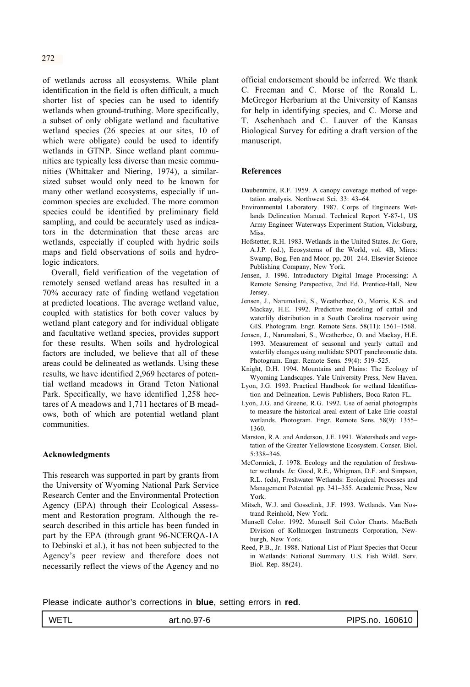of wetlands across all ecosystems. While plant identification in the field is often difficult, a much shorter list of species can be used to identify wetlands when ground-truthing. More specifically, a subset of only obligate wetland and facultative wetland species (26 species at our sites, 10 of which were obligate) could be used to identify wetlands in GTNP. Since wetland plant communities are typically less diverse than mesic communities (Whittaker and Niering, 1974), a similarsized subset would only need to be known for many other wetland ecosystems, especially if uncommon species are excluded. The more common species could be identified by preliminary field sampling, and could be accurately used as indicators in the determination that these areas are wetlands, especially if coupled with hydric soils maps and field observations of soils and hydrologic indicators.

Overall, field verification of the vegetation of remotely sensed wetland areas has resulted in a 70% accuracy rate of finding wetland vegetation at predicted locations. The average wetland value, coupled with statistics for both cover values by wetland plant category and for individual obligate and facultative wetland species, provides support for these results. When soils and hydrological factors are included, we believe that all of these areas could be delineated as wetlands. Using these results, we have identified 2,969 hectares of potential wetland meadows in Grand Teton National Park. Specifically, we have identified 1,258 hectares of A meadows and 1,711 hectares of B meadows, both of which are potential wetland plant communities.

## **Acknowledgments**

This research was supported in part by grants from the University of Wyoming National Park Service Research Center and the Environmental Protection Agency (EPA) through their Ecological Assessment and Restoration program. Although the research described in this article has been funded in part by the EPA (through grant 96-NCERQA-1A to Debinski et al.), it has not been subjected to the Agency's peer review and therefore does not necessarily reflect the views of the Agency and no official endorsement should be inferred. We thank C. Freeman and C. Morse of the Ronald L. McGregor Herbarium at the University of Kansas for help in identifying species, and C. Morse and T. Aschenbach and C. Lauver of the Kansas Biological Survey for editing a draft version of the manuscript.

#### **References**

- Daubenmire, R.F. 1959. A canopy coverage method of vegetation analysis. Northwest Sci. 33: 43–64.
- Environmental Laboratory. 1987. Corps of Engineers Wetlands Delineation Manual. Technical Report Y-87-1, US Army Engineer Waterways Experiment Station, Vicksburg, Miss.
- Hofstetter, R.H. 1983. Wetlands in the United States. *In*: Gore, A.J.P. (ed.), Ecosystems of the World, vol. 4B, Mires: Swamp, Bog, Fen and Moor. pp. 201–244. Elsevier Science Publishing Company, New York.
- Jensen, J. 1996. Introductory Digital Image Processing: A Remote Sensing Perspective, 2nd Ed. Prentice-Hall, New Jersey.
- Jensen, J., Narumalani, S., Weatherbee, O., Morris, K.S. and Mackay, H.E. 1992. Predictive modeling of cattail and waterlily distribution in a South Carolina reservoir using GIS. Photogram. Engr. Remote Sens. 58(11): 1561–1568.
- Jensen, J., Narumalani, S., Weatherbee, O. and Mackay, H.E. 1993. Measurement of seasonal and yearly cattail and waterlily changes using multidate SPOT panchromatic data. Photogram. Engr. Remote Sens. 59(4): 519–525.
- Knight, D.H. 1994. Mountains and Plains: The Ecology of Wyoming Landscapes. Yale University Press, New Haven.
- Lyon, J.G. 1993. Practical Handbook for wetland Identification and Delineation. Lewis Publishers, Boca Raton FL.
- Lyon, J.G. and Greene, R.G. 1992. Use of aerial photographs to measure the historical areal extent of Lake Erie coastal wetlands. Photogram. Engr. Remote Sens. 58(9): 1355– 1360.
- Marston, R.A. and Anderson, J.E. 1991. Watersheds and vegetation of the Greater Yellowstone Ecosystem. Conser. Biol. 5:338–346.
- McCormick, J. 1978. Ecology and the regulation of freshwater wetlands. *In*: Good, R.E., Whigman, D.F. and Simpson, R.L. (eds), Freshwater Wetlands: Ecological Processes and Management Potential. pp. 341–355. Academic Press, New York.
- Mitsch, W.J. and Gosselink, J.F. 1993. Wetlands. Van Nostrand Reinhold, New York.
- Munsell Color. 1992. Munsell Soil Color Charts. MacBeth Division of Kollmorgen Instruments Corporation, Newburgh, New York.
- Reed, P.B., Jr. 1988. National List of Plant Species that Occur in Wetlands: National Summary. U.S. Fish Wildl. Serv. Biol. Rep. 88(24).